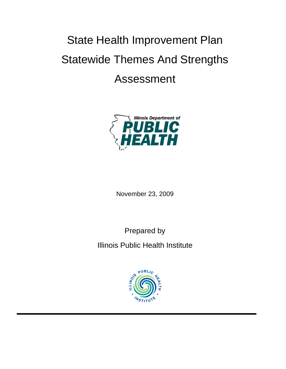# State Health Improvement Plan Statewide Themes And Strengths Assessment



November 23, 2009

Prepared by

Illinois Public Health Institute

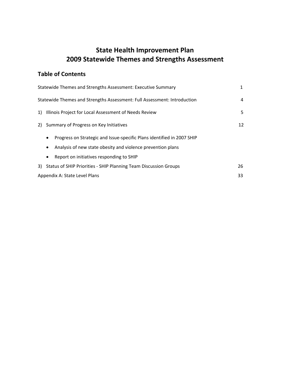# **State Health Improvement Plan 2009 Statewide Themes and Strengths Assessment**

# **Table of Contents**

|    | Statewide Themes and Strengths Assessment: Executive Summary                        | 1  |
|----|-------------------------------------------------------------------------------------|----|
|    | Statewide Themes and Strengths Assessment: Full Assessment: Introduction            | 4  |
| 1) | Illinois Project for Local Assessment of Needs Review                               | 5  |
| 2) | Summary of Progress on Key Initiatives                                              | 12 |
|    | Progress on Strategic and Issue-specific Plans identified in 2007 SHIP<br>$\bullet$ |    |
|    | Analysis of new state obesity and violence prevention plans                         |    |
|    | Report on initiatives responding to SHIP<br>$\bullet$                               |    |
| 3) | <b>Status of SHIP Priorities - SHIP Planning Team Discussion Groups</b>             | 26 |
|    | Appendix A: State Level Plans                                                       | 33 |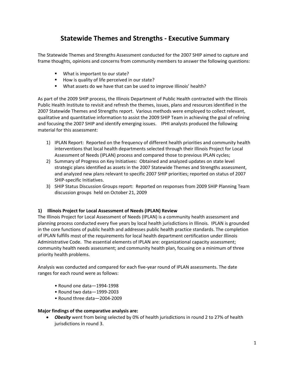# **Statewide Themes and Strengths ‐ Executive Summary**

The Statewide Themes and Strengths Assessment conducted for the 2007 SHIP aimed to capture and frame thoughts, opinions and concerns from community members to answer the following questions:

- **What is important to our state?**
- How is quality of life perceived in our state?
- What assets do we have that can be used to improve Illinois' health?

As part of the 2009 SHIP process, the Illinois Department of Public Health contracted with the Illinois Public Health Institute to revisit and refresh the themes, issues, plans and resources identified in the 2007 Statewide Themes and Strengths report. Various methods were employed to collect relevant, qualitative and quantitative information to assist the 2009 SHIP Team in achieving the goal of refining and focusing the 2007 SHIP and identify emerging issues. IPHI analysts produced the following material for this assessment:

- 1) IPLAN Report: Reported on the frequency of different health priorities and community health interventions that local health departments selected through their Illinois Project for Local Assessment of Needs (IPLAN) process and compared those to previous IPLAN cycles;
- 2) Summary of Progress on Key Initiatives: Obtained and analyzed updates on state level strategic plans identified as assets in the 2007 Statewide Themes and Strengths assessment, and analyzed new plans relevant to specific 2007 SHIP priorities; reported on status of 2007 SHIP‐specific Initiatives.
- 3) SHIP Status Discussion Groups report: Reported on responses from 2009 SHIP Planning Team discussion groups held on October 21, 2009

#### **1) Illinois Project for Local Assessment of Needs (IPLAN) Review**

The Illinois Project for Local Assessment of Needs (IPLAN) is a community health assessment and planning process conducted every five years by local health jurisdictions in Illinois. IPLAN is grounded in the core functions of public health and addresses public health practice standards. The completion of IPLAN fulfills most of the requirements for local health department certification under Illinois Administrative Code. The essential elements of IPLAN are: organizational capacity assessment; community health needs assessment; and community health plan, focusing on a minimum of three priority health problems.

Analysis was conducted and compared for each five‐year round of IPLAN assessments. The date ranges for each round were as follows:

- Round one data—1994‐1998
- Round two data—1999‐2003
- Round three data—2004‐2009

#### **Major findings of the comparative analysis are:**

 *Obesity* went from being selected by 0% of health jurisdictions in round 2 to 27% of health jurisdictions in round 3.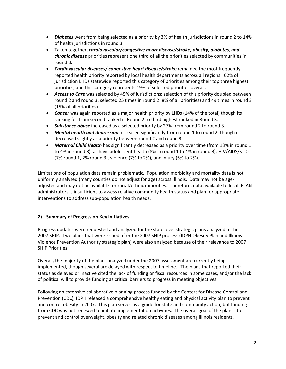- *Diabetes* went from being selected as a priority by 3% of health jurisdictions in round 2 to 14% of health jurisdictions in round 3
- Taken together, *cardiovascular/congestive heart disease/stroke, obesity, diabetes, and chronic disease* priorities represent one third of all the priorities selected by communities in round 3.
- *Cardiovascular diseases/ congestive heart disease/stroke* remained the most frequently reported health priority reported by local health departments across all regions: 62% of jurisdiction LHDs statewide reported this category of priorities among their top three highest priorities, and this category represents 19% of selected priorities overall.
- *Access to Care* was selected by 45% of jurisdictions; selection of this priority doubled between round 2 and round 3: selected 25 times in round 2 (8% of all priorities) and 49 times in round 3 (15% of all priorities).
- **Cancer** was again reported as a major health priority by LHDs (14% of the total) though its ranking fell from second ranked in Round 2 to third highest ranked in Round 3.
- *Substance abuse* increased as a selected priority by 27% from round 2 to round 3.
- *Mental health and depression* increased significantly from round 1 to round 2, though it decreased slightly as a priority between round 2 and round 3.
- *Maternal Child Health* has significantly decreased as a priority over time (from 13% in round 1 to 4% in round 3), as have adolescent health (8% in round 1 to 4% in round 3); HIV/AIDS/STDs (7% round 1, 2% round 3), violence (7% to 2%), and injury (6% to 2%).

Limitations of population data remain problematic. Population morbidity and mortality data is not uniformly analyzed (many counties do not adjust for age) across Illinois. Data may not be age‐ adjusted and may not be available for racial/ethnic minorities. Therefore, data available to local IPLAN administrators is insufficient to assess relative community health status and plan for appropriate interventions to address sub‐population health needs.

# **2) Summary of Progress on Key Initiatives**

Progress updates were requested and analyzed for the state level strategic plans analyzed in the 2007 SHIP. Two plans that were issued after the 2007 SHIP process (IDPH Obesity Plan and Illinois Violence Prevention Authority strategic plan) were also analyzed because of their relevance to 2007 SHIP Priorities.

Overall, the majority of the plans analyzed under the 2007 assessment are currently being implemented, though several are delayed with respect to timeline. The plans that reported their status as delayed or inactive cited the lack of funding or fiscal resources in some cases, and/or the lack of political will to provide funding as critical barriers to progress in meeting objectives.

Following an extensive collaborative planning process funded by the Centers for Disease Control and Prevention (CDC), IDPH released a comprehensive healthy eating and physical activity plan to prevent and control obesity in 2007. This plan serves as a guide for state and community action, but funding from CDC was not renewed to initiate implementation activities. The overall goal of the plan is to prevent and control overweight, obesity and related chronic diseases among Illinois residents.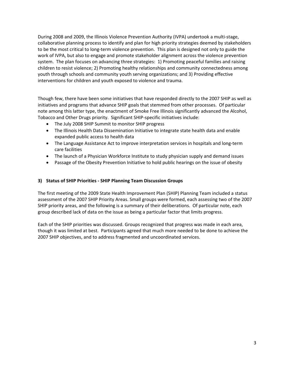During 2008 and 2009, the Illinois Violence Prevention Authority (IVPA) undertook a multi‐stage, collaborative planning process to identify and plan for high priority strategies deemed by stakeholders to be the most critical to long‐term violence prevention. This plan is designed not only to guide the work of IVPA, but also to engage and promote stakeholder alignment across the violence prevention system. The plan focuses on advancing three strategies: 1) Promoting peaceful families and raising children to resist violence; 2) Promoting healthy relationships and community connectedness among youth through schools and community youth serving organizations; and 3) Providing effective interventions for children and youth exposed to violence and trauma.

Though few, there have been some initiatives that have responded directly to the 2007 SHIP as well as initiatives and programs that advance SHIP goals that stemmed from other processes. Of particular note among this latter type, the enactment of Smoke Free Illinois significantly advanced the Alcohol, Tobacco and Other Drugs priority. Significant SHIP‐specific initiatives include:

- The July 2008 SHIP Summit to monitor SHIP progress
- The Illinois Health Data Dissemination Initiative to integrate state health data and enable expanded public access to health data
- The Language Assistance Act to improve interpretation services in hospitals and long‐term care facilities
- The launch of a Physician Workforce Institute to study physician supply and demand issues
- Passage of the Obesity Prevention Initiative to hold public hearings on the issue of obesity

#### **3) Status of SHIP Priorities ‐ SHIP Planning Team Discussion Groups**

The first meeting of the 2009 State Health Improvement Plan (SHIP) Planning Team included a status assessment of the 2007 SHIP Priority Areas. Small groups were formed, each assessing two of the 2007 SHIP priority areas, and the following is a summary of their deliberations. Of particular note, each group described lack of data on the issue as being a particular factor that limits progress.

Each of the SHIP priorities was discussed. Groups recognized that progress was made in each area, though it was limited at best. Participants agreed that much more needed to be done to achieve the 2007 SHIP objectives, and to address fragmented and uncoordinated services.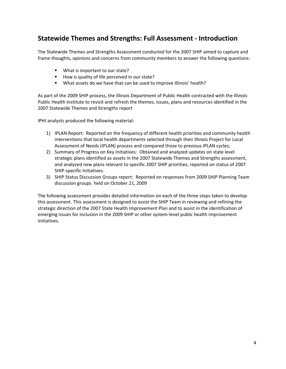# **Statewide Themes and Strengths: Full Assessment ‐ Introduction**

The Statewide Themes and Strengths Assessment conducted for the 2007 SHIP aimed to capture and frame thoughts, opinions and concerns from community members to answer the following questions:

- What is important to our state?
- How is quality of life perceived in our state?
- What assets do we have that can be used to improve Illinois' health?

As part of the 2009 SHIP process, the Illinois Department of Public Health contracted with the Illinois Public Health Institute to revisit and refresh the themes, issues, plans and resources identified in the 2007 Statewide Themes and Strengths report

IPHI analysts produced the following material:

- 1) IPLAN Report: Reported on the frequency of different health priorities and community health interventions that local health departments selected through their Illinois Project for Local Assessment of Needs (IPLAN) process and compared those to previous IPLAN cycles;
- 2) Summary of Progress on Key Initiatives: Obtained and analyzed updates on state level strategic plans identified as assets in the 2007 Statewide Themes and Strengths assessment, and analyzed new plans relevant to specific 2007 SHIP priorities; reported on status of 2007 SHIP‐specific Initiatives.
- 3) SHIP Status Discussion Groups report: Reported on responses from 2009 SHIP Planning Team discussion groups held on October 21, 2009

The following assessment provides detailed information on each of the three steps taken to develop this assessment. This assessment is designed to assist the SHIP Team in reviewing and refining the strategic direction of the 2007 State Health Improvement Plan and to assist in the identification of emerging issues for inclusion in the 2009 SHIP or other system-level public health improvement initiatives.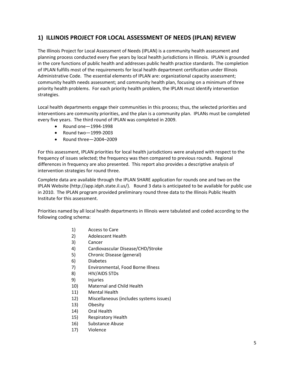# **1) ILLINOIS PROJECT FOR LOCAL ASSESSMENT OF NEEDS (IPLAN) REVIEW**

The Illinois Project for Local Assessment of Needs (IPLAN) is a community health assessment and planning process conducted every five years by local health jurisdictions in Illinois. IPLAN is grounded in the core functions of public health and addresses public health practice standards. The completion of IPLAN fulfills most of the requirements for local health department certification under Illinois Administrative Code. The essential elements of IPLAN are: organizational capacity assessment; community health needs assessment; and community health plan, focusing on a minimum of three priority health problems. For each priority health problem, the IPLAN must identify intervention strategies.

Local health departments engage their communities in this process; thus, the selected priorities and interventions are community priorities, and the plan is a community plan. IPLANs must be completed every five years. The third round of IPLAN was completed in 2009.

- Round one-1994-1998
- Round two-1999-2003
- Round three—2004–2009

For this assessment, IPLAN priorities for local health jurisdictions were analyzed with respect to the frequency of issues selected; the frequency was then compared to previous rounds. Regional differences in frequency are also presented. This report also provides a descriptive analysis of intervention strategies for round three.

Complete data are available through the IPLAN SHARE application for rounds one and two on the IPLAN Website (http://app.idph.state.il.us/). Round 3 data is anticipated to be available for public use in 2010. The IPLAN program provided preliminary round three data to the Illinois Public Health Institute for this assessment.

Priorities named by all local health departments in Illinois were tabulated and coded according to the following coding schema:

- 1) Access to Care
- 2) Adolescent Health
- 3) Cancer
- 4) Cardiovascular Disease/CHD/Stroke
- 5) Chronic Disease (general)
- 6) Diabetes
- 7) Environmental, Food Borne Illness
- 8) HIV/AIDS STDs
- 9) Injuries
- 10) Maternal and Child Health
- 11) Mental Health
- 12) Miscellaneous (includes systems issues)
- 13) Obesity
- 14) Oral Health
- 15) Respiratory Health
- 16) Substance Abuse
- 17) Violence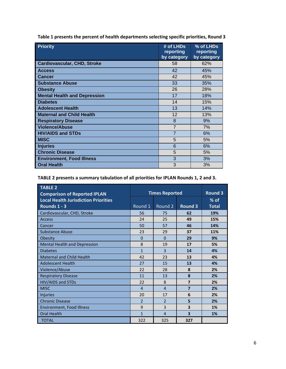| <b>Priority</b>                     | # of LHDs<br>reporting<br>by category | % of LHDs<br>reporting<br>by category |
|-------------------------------------|---------------------------------------|---------------------------------------|
| <b>Cardiovascular, CHD, Stroke</b>  | 58                                    | 62%                                   |
| <b>Access</b>                       | 42                                    | 45%                                   |
| <b>Cancer</b>                       | 42                                    | 45%                                   |
| <b>Substance Abuse</b>              | 33                                    | 35%                                   |
| <b>Obesity</b>                      | 26                                    | 28%                                   |
| <b>Mental Health and Depression</b> | 17                                    | 18%                                   |
| <b>Diabetes</b>                     | 14                                    | 15%                                   |
| <b>Adolescent Health</b>            | 13                                    | 14%                                   |
| <b>Maternal and Child Health</b>    | 12                                    | 13%                                   |
| <b>Respiratory Disease</b>          | 8                                     | 9%                                    |
| <b>Violence/Abuse</b>               | $\overline{7}$                        | 7%                                    |
| <b>HIV/AIDS and STDs</b>            | $\overline{7}$                        | 6%                                    |
| <b>MISC</b>                         | 5                                     | 5%                                    |
| <b>Injuries</b>                     | 6                                     | 6%                                    |
| <b>Chronic Disease</b>              | 5                                     | 5%                                    |
| <b>Environment, Food Illness</b>    | 3                                     | 3%                                    |
| <b>Oral Health</b>                  | 3                                     | 3%                                    |

**Table 1 presents the percent of health departments selecting specific priorities, Round 3**

# **TABLE 2 presents a summary tabulation of all priorities for IPLAN Rounds 1, 2 and 3.**

| <b>TABLE 2</b><br><b>Comparison of Reported IPLAN</b> |                | <b>Times Reported</b> |                         | <b>Round 3</b> |
|-------------------------------------------------------|----------------|-----------------------|-------------------------|----------------|
| <b>Local Health Jurisdiction Priorities</b>           |                |                       |                         | $%$ of         |
| Rounds 1 - 3                                          | Round 1        | Round 2               | <b>Round 3</b>          | <b>Total</b>   |
| Cardiovascular, CHD, Stroke                           | 56             | 75                    | 62                      | 19%            |
| <b>Access</b>                                         | 24             | 25                    | 49                      | 15%            |
| Cancer                                                | 50             | 57                    | 46                      | 14%            |
| Substance Abuse                                       | 23             | 29                    | 37                      | 11%            |
| Obesity                                               | $\Omega$       | $\Omega$              | 29                      | 9%             |
| <b>Mental Health and Depression</b>                   | 8              | 19                    | 17                      | 5%             |
| <b>Diabetes</b>                                       | $\mathbf{1}$   | 3                     | 14                      | 4%             |
| <b>Maternal and Child Health</b>                      | 42             | 23                    | 13                      | 4%             |
| <b>Adolescent Health</b>                              | 27             | 15                    | 13                      | 4%             |
| Violence/Abuse                                        | 22             | 28                    | 8                       | 2%             |
| <b>Respiratory Disease</b>                            | 11             | 13                    | 8                       | 2%             |
| HIV/AIDS and STDs                                     | 22             | 8                     | $\overline{7}$          | 2%             |
| <b>MISC</b>                                           | $\overline{4}$ | $\overline{4}$        | $\overline{7}$          | 2%             |
| <b>Injuries</b>                                       | 20             | 17                    | 6                       | 2%             |
| <b>Chronic Disease</b>                                | $\overline{2}$ | $\overline{2}$        | 5                       | 2%             |
| Environment, Food Illness                             | 9              | $\overline{3}$        | 3                       | 1%             |
| <b>Oral Health</b>                                    | $\mathbf{1}$   | $\overline{4}$        | $\overline{\mathbf{3}}$ | 1%             |
| <b>TOTAL</b>                                          | 322            | 325                   | 327                     |                |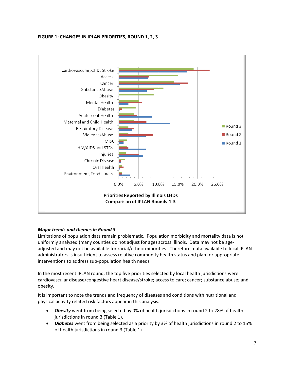#### **FIGURE 1: CHANGES IN IPLAN PRIORITIES, ROUND 1, 2, 3**



# *Major trends and themes in Round 3*

Limitations of population data remain problematic. Population morbidity and mortality data is not uniformly analyzed (many counties do not adjust for age) across Illinois. Data may not be age‐ adjusted and may not be available for racial/ethnic minorities. Therefore, data available to local IPLAN administrators is insufficient to assess relative community health status and plan for appropriate interventions to address sub‐population health needs

In the most recent IPLAN round, the top five priorities selected by local health jurisdictions were cardiovascular disease/congestive heart disease/stroke; access to care; cancer; substance abuse; and obesity.

It is important to note the trends and frequency of diseases and conditions with nutritional and physical activity related risk factors appear in this analysis.

- *Obesity* went from being selected by 0% of health jurisdictions in round 2 to 28% of health jurisdictions in round 3 (Table 1).
- *Diabetes* went from being selected as a priority by 3% of health jurisdictions in round 2 to 15% of health jurisdictions in round 3 (Table 1)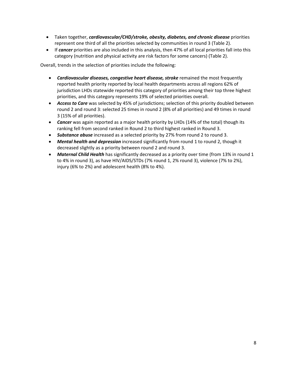- Taken together, *cardiovascular/CHD/stroke, obesity, diabetes, and chronic disease* priorities represent one third of all the priorities selected by communities in round 3 (Table 2).
- If *cancer* priorities are also included in this analysis, then 47% of all local priorities fall into this category (nutrition and physical activity are risk factors for some cancers) (Table 2).

Overall, trends in the selection of priorities include the following:

- *Cardiovascular diseases, congestive heart disease, stroke* remained the most frequently reported health priority reported by local health departments across all regions 62% of jurisdiction LHDs statewide reported this category of priorities among their top three highest priorities, and this category represents 19% of selected priorities overall.
- *Access to Care* was selected by 45% of jurisdictions; selection of this priority doubled between round 2 and round 3: selected 25 times in round 2 (8% of all priorities) and 49 times in round 3 (15% of all priorities).
- *Cancer* was again reported as a major health priority by LHDs (14% of the total) though its ranking fell from second ranked in Round 2 to third highest ranked in Round 3.
- *Substance abuse* increased as a selected priority by 27% from round 2 to round 3.
- *Mental health and depression* increased significantly from round 1 to round 2, though it decreased slightly as a priority between round 2 and round 3.
- *Maternal Child Health* has significantly decreased as a priority over time (from 13% in round 1 to 4% in round 3), as have HIV/AIDS/STDs (7% round 1, 2% round 3), violence (7% to 2%), injury (6% to 2%) and adolescent health (8% to 4%).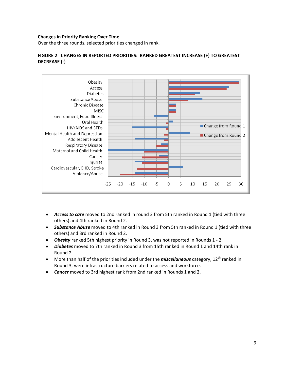#### **Changes in Priority Ranking Over Time**

Over the three rounds, selected priorities changed in rank.

# **FIGURE 2 CHANGES IN REPORTED PRIORITIES: RANKED GREATEST INCREASE (+) TO GREATEST DECREASE (‐)**



- *Access to care* moved to 2nd ranked in round 3 from 5th ranked in Round 1 (tied with three others) and 4th ranked in Round 2.
- *Substance Abuse* moved to 4th ranked in Round 3 from 5th ranked in Round 1 (tied with three others) and 3rd ranked in Round 2.
- *Obesity* ranked 5th highest priority in Round 3, was not reported in Rounds 1 ‐ 2.
- *Diabetes* moved to 7th ranked in Round 3 from 15th ranked in Round 1 and 14th rank in Round 2.
- More than half of the priorities included under the *miscellaneous* category, 12<sup>th</sup> ranked in Round 3, were infrastructure barriers related to access and workforce.
- *Cancer* moved to 3rd highest rank from 2nd ranked in Rounds 1 and 2.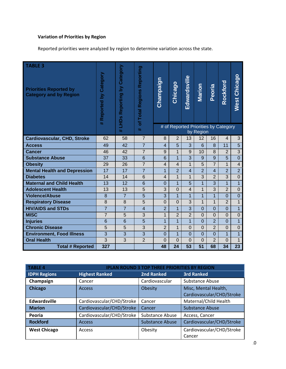# **Variation of Priorities by Region**

Reported priorities were analyzed by region to determine variation across the state.

| <b>TABLE 3</b><br><b>Priorities Reported by</b><br><b>Category and by Region</b> | # Reported by Category | Category<br>$\overline{\mathsf{S}}$<br>Reporting<br>LIHDS | of Total Regions Reporting | Champaign                | Chicago        | Edwardsville   | <b>Marion</b>  | Peoria         | Rockford                             | <b>West Chicago</b> |
|----------------------------------------------------------------------------------|------------------------|-----------------------------------------------------------|----------------------------|--------------------------|----------------|----------------|----------------|----------------|--------------------------------------|---------------------|
|                                                                                  |                        | $\frac{1}{2}$                                             | $\frac{1}{2}$              |                          |                |                | by Region      |                | # of Reported Priorities by Category |                     |
| <b>Cardiovascular, CHD, Stroke</b>                                               | 62                     | 58                                                        | $\overline{7}$             | 8                        | $\overline{2}$ | 13             | 12             | 16             | $\overline{4}$                       | 3                   |
| <b>Access</b>                                                                    | 49                     | 42                                                        | $\overline{7}$             | $\overline{4}$           | 5              | 3              | 6              | 8              | 11                                   | 5                   |
| <b>Cancer</b>                                                                    | 46                     | 42                                                        | $\overline{7}$             | 9                        | $\mathbf 1$    | 9              | 10             | 8              | $\overline{2}$                       | 3                   |
| <b>Substance Abuse</b>                                                           | 37                     | 33                                                        | 6                          | 6                        | $\overline{1}$ | 3              | 9              | 9              | 5                                    | $\overline{0}$      |
| <b>Obesity</b>                                                                   | 29                     | 26                                                        | $\overline{7}$             | $\overline{\mathcal{L}}$ | $\overline{4}$ | $\mathbf{1}$   | 5              | $\overline{7}$ | $\mathbf{1}$                         | $\overline{4}$      |
| <b>Mental Health and Depression</b>                                              | 17                     | 17                                                        | $\overline{7}$             | $\mathbf{1}$             | $\overline{2}$ | $\overline{4}$ | $\overline{2}$ | $\overline{4}$ | $\overline{2}$                       | $\overline{2}$      |
| <b>Diabetes</b>                                                                  | 14                     | 14                                                        | 6                          | $\overline{4}$           | 1              | $\mathbf{1}$   | 3              | $\overline{2}$ | 3                                    | $\overline{0}$      |
| <b>Maternal and Child Health</b>                                                 | 13                     | 12                                                        | $6\phantom{1}6$            | $\overline{0}$           | $\mathbf{1}$   | 5              | $\overline{1}$ | 3              | $\overline{1}$                       | $\mathbf{1}$        |
| <b>Adolescent Health</b>                                                         | 13                     | 13                                                        | 5                          | 3                        | $\Omega$       | $\overline{4}$ | $\mathbf{1}$   | 3              | $\overline{2}$                       | $\Omega$            |
| <b>Violence/Abuse</b>                                                            | 8                      | $\overline{7}$                                            | 5                          | 3                        | $\overline{1}$ | $\mathbf{1}$   | $\overline{1}$ | $\overline{1}$ | $\overline{0}$                       | $\overline{0}$      |
| <b>Respiratory Disease</b>                                                       | 8                      | 8                                                         | 5                          | $\mathbf 0$              | $\overline{0}$ | 3              | $\mathbf 1$    | $\mathbf{1}$   | $\overline{2}$                       | $\mathbf{1}$        |
| <b>HIV/AIDS and STDs</b>                                                         | $\overline{7}$         | $\overline{7}$                                            | $\overline{4}$             | $\overline{2}$           | $\overline{1}$ | $\overline{3}$ | $\Omega$       | $\overline{0}$ | $\overline{0}$                       | $\overline{1}$      |
| <b>MISC</b>                                                                      | $\overline{7}$         | 5                                                         | 3                          | $\mathbf{1}$             | $\overline{2}$ | $\overline{2}$ | $\overline{0}$ | $\overline{0}$ | $\overline{0}$                       | $\overline{0}$      |
| <b>Injuries</b>                                                                  | 6                      | 6                                                         | 5                          | $\overline{1}$           | $\mathbf{1}$   | $\overline{1}$ | $\overline{0}$ | $\overline{2}$ | $\overline{0}$                       | $\overline{1}$      |
| <b>Chronic Disease</b>                                                           | 5                      | 5                                                         | 3                          | $\overline{2}$           | 1              | $\Omega$       | $\Omega$       | $\overline{2}$ | $\Omega$                             | $\overline{0}$      |
| <b>Environment, Food Illness</b>                                                 | 3                      | 3                                                         | 3                          | $\overline{0}$           | $\overline{1}$ | $\overline{0}$ | $\overline{0}$ | $\overline{0}$ | $\overline{1}$                       | $\mathbf{1}$        |
| <b>Oral Health</b>                                                               | 3                      | 3                                                         | $\overline{2}$             | $\mathbf 0$              | $\overline{0}$ | $\Omega$       | $\overline{0}$ | $\overline{2}$ | $\overline{0}$                       | $\mathbf{1}$        |
| <b>Total # Reported</b>                                                          | 327                    |                                                           |                            | 48                       | 24             | 53             | 51             | 68             | 34                                   | 23                  |

| <b>TABLE 4</b>      | <b>IPLAN ROUND 3 TOP THREE PRIORITIES BY REGION</b> |                        |                                                   |  |  |
|---------------------|-----------------------------------------------------|------------------------|---------------------------------------------------|--|--|
| <b>IDPH Regions</b> | <b>Highest Ranked</b>                               | <b>2nd Ranked</b>      | <b>3rd Ranked</b>                                 |  |  |
| Champaign           | Cancer                                              | Cardiovascular         | Substance Abuse                                   |  |  |
| <b>Chicago</b>      | <b>Access</b>                                       | Obesity                | Misc, Mental Health,<br>Cardiovascular/CHD/Stroke |  |  |
| <b>Edwardsville</b> | Cardiovascular/CHD/Stroke                           | Cancer                 | Maternal/Child Health                             |  |  |
| <b>Marion</b>       | Cardiovascular/CHD/Stroke                           | Cancer                 | Substance Abuse                                   |  |  |
| Peoria              | Cardiovascular/CHD/Stroke                           | Substance Abuse        | Access, Cancer                                    |  |  |
| <b>Rockford</b>     | <b>Access</b>                                       | <b>Substance Abuse</b> | Cardiovascular/CHD/Stroke                         |  |  |
| <b>West Chicago</b> | Access                                              | Obesity                | Cardiovascular/CHD/Stroke<br>Cancer               |  |  |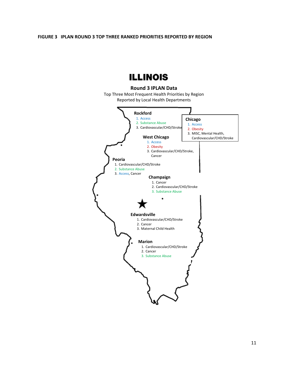#### **FIGURE 3 IPLAN ROUND 3 TOP THREE RANKED PRIORITIES REPORTED BY REGION**

# **ILLINOIS**

# **Round 3 IPLAN Data**

Top Three Most Frequent Health Priorities by Region Reported by Local Health Departments

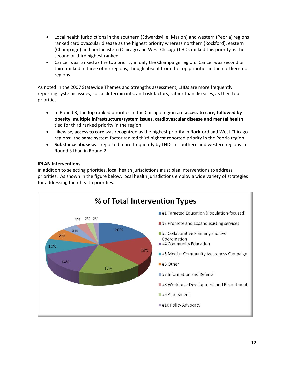- Local health jurisdictions in the southern (Edwardsville, Marion) and western (Peoria) regions ranked cardiovascular disease as the highest priority whereas northern (Rockford), eastern (Champaign) and northeastern (Chicago and West Chicago) LHDs ranked this priority as the second or third highest ranked.
- Cancer was ranked as the top priority in only the Champaign region. Cancer was second or third ranked in three other regions, though absent from the top priorities in the northernmost regions.

As noted in the 2007 Statewide Themes and Strengths assessment, LHDs are more frequently reporting systemic issues, social determinants, and risk factors, rather than diseases, as their top priorities.

- In Round 3, the top ranked priorities in the Chicago region are **access to care, followed by obesity; multiple infrastructure/system issues, cardiovascular disease and mental health** tied for third ranked priority in the region.
- Likewise, **access to care** was recognized as the highest priority in Rockford and West Chicago regions: the same system factor ranked third highest reported priority in the Peoria region.
- **Substance abuse** was reported more frequently by LHDs in southern and western regions in Round 3 than in Round 2.

#### **IPLAN Interventions**

In addition to selecting priorities, local health jurisdictions must plan interventions to address priorities. As shown in the figure below, local health jurisdictions employ a wide variety of strategies for addressing their health priorities.

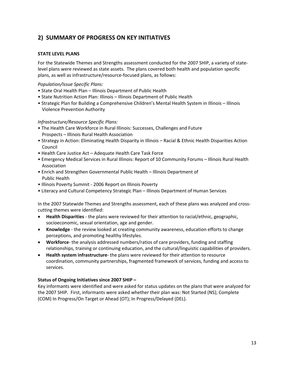# **2) SUMMARY OF PROGRESS ON KEY INITIATIVES**

# **STATE LEVEL PLANS**

For the Statewide Themes and Strengths assessment conducted for the 2007 SHIP, a variety of state‐ level plans were reviewed as state assets. The plans covered both health and population specific plans, as well as infrastructure/resource‐focused plans, as follows:

*Population/Issue Specific Plans:*

- State Oral Health Plan Illinois Department of Public Health
- State Nutrition Action Plan: Illinois Illinois Department of Public Health
- Strategic Plan for Building a Comprehensive Children's Mental Health System in Illinois Illinois Violence Prevention Authority

#### *Infrastructure/Resource Specific Plans:*

- The Health Care Workforce in Rural Illinois: Successes, Challenges and Future Prospects – Illinois Rural Health Association
- Strategy in Action: Eliminating Health Disparity in Illinois Racial & Ethnic Health Disparities Action Council
- Health Care Justice Act Adequate Health Care Task Force
- Emergency Medical Services in Rural Illinois: Report of 10 Community Forums Illinois Rural Health Association
- Enrich and Strengthen Governmental Public Health Illinois Department of Public Health
- Illinois Poverty Summit ‐ 2006 Report on Illinois Poverty
- Literacy and Cultural Competency Strategic Plan Illinois Department of Human Services

In the 2007 Statewide Themes and Strengths assessment, each of these plans was analyzed and cross‐ cutting themes were identified:

- **Health Disparities** ‐ the plans were reviewed for their attention to racial/ethnic, geographic, socioeconomic, sexual orientation, age and gender.
- **Knowledge** ‐ the review looked at creating community awareness, education efforts to change perceptions, and promoting healthy lifestyles.
- **Workforce**‐ the analysis addressed numbers/ratios of care providers, funding and staffing relationships, training or continuing education, and the cultural/linguistic capabilities of providers.
- **Health system infrastructure**‐ the plans were reviewed for their attention to resource coordination, community partnerships, fragmented framework of services, funding and access to services.

#### **Status of Ongoing Initiatives since 2007 SHIP –**

Key informants were identified and were asked for status updates on the plans that were analyzed for the 2007 SHIP. First, informants were asked whether their plan was: Not Started (NS); Complete (COM) In Progress/On Target or Ahead (OT); In Progress/Delayed (DEL).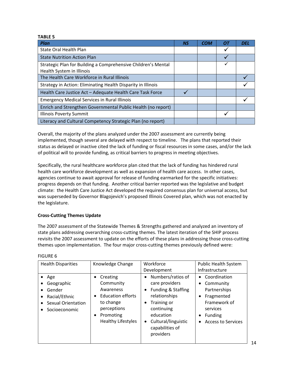#### **TABLE 5**

| Plan                                                          | <b>NS</b> | <b>COM</b> | 01 | <b>DEL</b> |
|---------------------------------------------------------------|-----------|------------|----|------------|
| State Oral Health Plan                                        |           |            |    |            |
| <b>State Nutrition Action Plan</b>                            |           |            |    |            |
| Strategic Plan for Building a Comprehensive Children's Mental |           |            | ✔  |            |
| Health System in Illinois                                     |           |            |    |            |
| The Health Care Workforce in Rural Illinois                   |           |            |    |            |
| Strategy in Action: Eliminating Health Disparity in Illinois  |           |            |    |            |
| Health Care Justice Act - Adequate Health Care Task Force     |           |            |    |            |
| <b>Emergency Medical Services in Rural Illinois</b>           |           |            |    |            |
| Enrich and Strengthen Governmental Public Health (no report)  |           |            |    |            |
| <b>Illinois Poverty Summit</b>                                |           |            |    |            |
| Literacy and Cultural Competency Strategic Plan (no report)   |           |            |    |            |

Overall, the majority of the plans analyzed under the 2007 assessment are currently being implemented, though several are delayed with respect to timeline. The plans that reported their status as delayed or inactive cited the lack of funding or fiscal resources in some cases, and/or the lack of political will to provide funding, as critical barriers to progress in meeting objectives.

Specifically, the rural healthcare workforce plan cited that the lack of funding has hindered rural health care workforce development as well as expansion of health care access. In other cases, agencies continue to await approval for release of funding earmarked for the specific initiatives: progress depends on that funding. Another critical barrier reported was the legislative and budget climate: the Health Care Justice Act developed the required consensus plan for universal access, but was superseded by Governor Blagojevich's proposed Illinois Covered plan, which was not enacted by the legislature.

# **Cross‐Cutting Themes Update**

The 2007 assessment of the Statewide Themes & Strengths gathered and analyzed an inventory of state plans addressing overarching cross‐cutting themes. The latest iteration of the SHIP process revisits the 2007 assessment to update on the efforts of these plans in addressing those cross‐cutting themes upon implementation. The four major cross‐cutting themes previously defined were:

| <b>Health Disparities</b>                                                                                                  | Knowledge Change                                                                                                                                            | Workforce<br>Development                                                                                                                                                                 | <b>Public Health System</b><br>Infrastructure                                                                                                                                                      |
|----------------------------------------------------------------------------------------------------------------------------|-------------------------------------------------------------------------------------------------------------------------------------------------------------|------------------------------------------------------------------------------------------------------------------------------------------------------------------------------------------|----------------------------------------------------------------------------------------------------------------------------------------------------------------------------------------------------|
| Age<br>Geographic<br>Gender<br>$\bullet$<br>Racial/Ethnic<br>$\bullet$<br>Sexual Orientation<br>$\bullet$<br>Socioeconomic | Creating<br>٠<br>Community<br>Awareness<br><b>Education efforts</b><br>$\bullet$<br>to change<br>perceptions<br>Promoting<br>٠<br><b>Healthy Lifestyles</b> | Numbers/ratios of<br>care providers<br>Funding & Staffing<br>relationships<br>Training or<br>continuing<br>education<br>Cultural/linguistic<br>$\bullet$<br>capabilities of<br>providers | Coordination<br>$\bullet$<br>Community<br>$\bullet$<br>Partnerships<br>Fragmented<br>$\bullet$<br>Framework of<br>services<br>Funding<br>$\bullet$<br><b>Access to Services</b><br>$\bullet$<br>14 |

#### FIGURE 6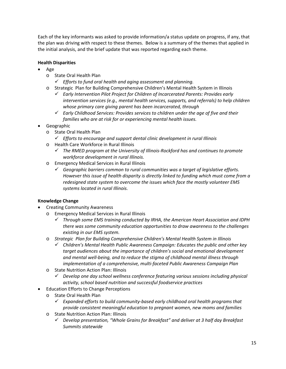Each of the key informants was asked to provide information/a status update on progress, if any, that the plan was driving with respect to these themes. Below is a summary of the themes that applied in the initial analysis, and the brief update that was reported regarding each theme.

# **Health Disparities**

- Age
	- o State Oral Health Plan
		- *Efforts to fund oral health and aging assessment and planning.*
	- o Strategic Plan for Building Comprehensive Children's Mental Health System in Illinois
		- *Early Intervention Pilot Project for Children of Incarcerated Parents: Provides early intervention services (e.g., mental health services, supports, and referrals) to help children whose primary care giving parent has been incarcerated, through*
		- *Early Childhood Services: Provides services to children under the age of five and their families who are at risk for or experiencing mental health issues.*
- Geographic
	- o State Oral Health Plan
		- *Efforts to encourage and support dental clinic development in rural Illinois*
	- o Health Care Workforce in Rural Illinois
		- *The RMED program at the University of Illinois‐Rockford has and continues to promote workforce development in rural Illinois.*
	- o Emergency Medical Services in Rural Illinois
		- *Geographic barriers common to rural communities was a target of legislative efforts. However this issue of health disparity is directly linked to funding which must come from a redesigned state system to overcome the issues which face the mostly volunteer EMS systems located in rural Illinois.*

# **Knowledge Change**

- Creating Community Awareness
	- o Emergency Medical Services in Rural Illinois
		- *Through some EMS training conducted by IRHA, the American Heart Association and IDPH there was some community education opportunities to draw awareness to the challenges existing in our EMS system.*
	- o *Strategic Plan for Building Comprehensive Children's Mental Health System in Illinois*
		- *Children's Mental Health Public Awareness Campaign: Educates the public and other key target audiences about the importance of children's social and emotional development and mental well‐being, and to reduce the stigma of childhood mental illness through implementation of a comprehensive, multi‐faceted Public Awareness Campaign Plan*
	- o State Nutrition Action Plan: Illinois
		- *Develop one day school wellness conference featuring various sessions including physical activity, school based nutrition and successful foodservice practices*
- Education Efforts to Change Perceptions
	- o State Oral Health Plan
		- *Expanded efforts to build community‐based early childhood oral health programs that provide consistent meaningful education to pregnant women, new moms and families*
	- o State Nutrition Action Plan: Illinois
		- *Develop presentation, "Whole Grains for Breakfast" and deliver at 3 half day Breakfast Summits statewide*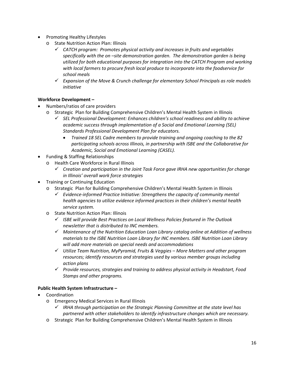- Promoting Healthy Lifestyles
	- o State Nutrition Action Plan: Illinois
		- *CATCH program: Promotes physical activity and increases in fruits and vegetables specifically with the on –site demonstration garden. The demonstration garden is being utilized for both educational purposes for integration into the CATCH Program and working with local farmers to procure fresh local produce to incorporate into the foodservice for school meals*
		- *Expansion of the Move & Crunch challenge for elementary School Principals as role models initiative*

# **Workforce Development –**

- Numbers/ratios of care providers
	- Strategic Plan for Building Comprehensive Children's Mental Health System in Illinois
		- *SEL Professional Development: Enhances children's school readiness and ability to achieve academic success through implementation of a Social and Emotional Learning (SEL) Standards Professional Development Plan for educators.*
			- *Trained 18 SEL Cadre members to provide training and ongoing coaching to the 82 participating schools across Illinois, in partnership with ISBE and the Collaborative for Academic, Social and Emotional Learning (CASEL).*
- Funding & Staffing Relationships
	- o Health Care Workforce in Rural Illinois
		- *Creation and participation in the Joint Task Force gave IRHA new opportunities for change in Illinois' overall work force strategies*
- Training or Continuing Education
	- o Strategic Plan for Building Comprehensive Children's Mental Health System in Illinois
		- *Evidence‐informed Practice Initiative: Strengthens the capacity of community mental health agencies to utilize evidence informed practices in their children's mental health service system.*
	- o State Nutrition Action Plan: Illinois
		- *ISBE will provide Best Practices on Local Wellness Policies featured in The Outlook newsletter that is distributed to INC members.*
		- *Maintenance of the Nutrition Education Loan Library catalog online at Addition of wellness materials to the ISBE Nutrition Loan Library for INC members. ISBE Nutrition Loan Library will add more materials on special needs and accommodations*
		- *Utilize Team Nutrition, MyPyramid, Fruits & Veggies – More Matters and other program resources; identify resources and strategies used by various member groups including action plans*
		- *Provide resources, strategies and training to address physical activity in Headstart, Food Stamps and other programs.*

# **Public Health System Infrastructure –**

- Coordination
	- o Emergency Medical Services in Rural Illinois
		- *IRHA through participation on the Strategic Planning Committee at the state level has partnered with other stakeholders to identify infrastructure changes which are necessary.*
	- o Strategic Plan for Building Comprehensive Children's Mental Health System in Illinois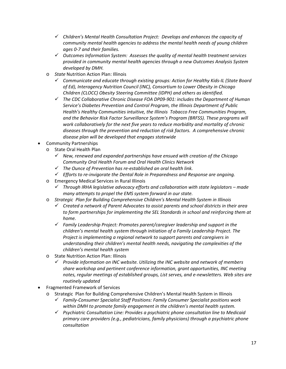- *Children's Mental Health Consultation Project: Develops and enhances the capacity of community mental health agencies to address the mental health needs of young children ages 0‐7 and their families.*
- *Outcomes Information System: Assesses the quality of mental health treatment services provided in community mental health agencies through a new Outcomes Analysis System developed by DMH.*
- o *State* Nutrition Action Plan: Illinois
	- *Communicate and educate through existing groups: Action for Healthy Kids‐IL (State Board of Ed), Interagency Nutrition Council (INC), Consortium to Lower Obesity in Chicago Children (CLOCC) Obesity Steering Committee (IDPH) and others as identified.*
	- *The CDC Collaborative Chronic Disease FOA DP09‐901: includes the Department of Human Service's Diabetes Prevention and Control Program, the Illinois Department of Public Health's Healthy Communities intuitive, the Illinois Tobacco Free Communities Program, and the Behavior Risk Factor Surveillance System's Program (BRFSS). These programs will work collaboratively for the next five years to reduce morbidity and mortality of chronic diseases through the prevention and reduction of risk factors. A comprehensive chronic disease plan will be developed that engages statewide*
- Community Partnerships
	- o State Oral Health Plan
		- *New, renewed and expanded partnerships have ensued with creation of the Chicago Community Oral Health Forum and Oral Health Clinics Network*
		- *The Ounce of Prevention has re‐established an oral health link.*
		- *Efforts to re‐invigorate the Dental Role in Preparedness and Response are ongoing.*
	- o Emergency Medical Services in Rural Illinois
		- *Through IRHA legislative advocacy efforts and collaboration with state legislators – made many attempts to propel the EMS system forward in our state.*
	- o *Strategic Plan for Building Comprehensive Children's Mental Health System in Illinois*
		- *Created a network of Parent Advocates to assist parents and school districts in their area to form partnerships for implementing the SEL Standards in school and reinforcing them at home.*
		- *Family Leadership Project: Promotes parent/caregiver leadership and support in the children's mental health system through initiation of a Family Leadership Project. The Project is implementing a regional network to support parents and caregivers in understanding their children's mental health needs, navigating the complexities of the children's mental health system*
	- o State Nutrition Action Plan: Illinois
		- *Provide information on INC website. Utilizing the INC website and network of members share workshop and pertinent conference information, grant opportunities, INC meeting notes, regular meetings of established groups, List serves, and e‐newsletters. Web sites are routinely updated*
- Fragmented Framework of Services
	- Strategic Plan for Building Comprehensive Children's Mental Health System in Illinois
		- *Family‐Consumer Specialist Staff Positions: Family Consumer Specialist positions work within DMH to promote family engagement in the children's mental health system.*
		- *Psychiatric Consultation Line: Provides a psychiatric phone consultation line to Medicaid primary care providers (e.g., pediatricians, family physicians) through a psychiatric phone consultation*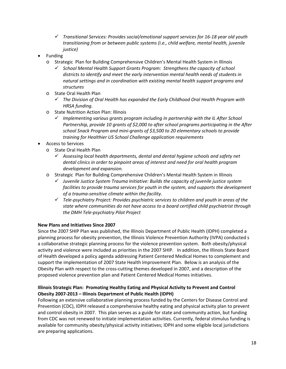- *Transitional Services: Provides social/emotional support services for 16‐18 year old youth transitioning from or between public systems (i.e., child welfare, mental health, juvenile justice)*
- Funding
	- o Strategic Plan for Building Comprehensive Children's Mental Health System in Illinois
		- *School Mental Health Support Grants Program: Strengthens the capacity of school districts to identify and meet the early intervention mental health needs of students in natural settings and in coordination with existing mental health support programs and structures*
	- o State Oral Health Plan
		- *The Division of Oral Health has expanded the Early Childhood Oral Health Program with HRSA funding.*
	- o State Nutrition Action Plan: Illinois
		- *Implementing various grants program including In partnership with the IL After School Partnership, provide 10 grants of \$2,000 to after school programs participating in the After school Snack Program and mini‐grants of \$3,500 to 20 elementary schools to provide training for Healthier US School Challenge application requirements*
- Access to Services
	- o State Oral Health Plan
		- *Assessing local health departments, dental and dental hygiene schools and safety net dental clinics in order to pinpoint areas of interest and need for oral health program development and expansion.*
	- o Strategic Plan for Building Comprehensive Children's Mental Health System in Illinois
		- *Juvenile Justice System Trauma Initiative: Builds the capacity of juvenile justice system facilities to provide trauma services for youth in the system, and supports the development of a trauma‐sensitive climate within the facility.*
		- *Tele‐psychiatry Project: Provides psychiatric services to children and youth in areas of the state where communities do not have access to a board certified child psychiatrist through the DMH Tele‐psychiatry Pilot Project*

# **New Plans and Initiatives Since 2007**

Since the 2007 SHIP Plan was published, the Illinois Department of Public Health (IDPH) completed a planning process for obesity prevention, the Illinois Violence Prevention Authority (IVPA) conducted s a collaborative strategic planning process for the violence prevention system. Both obesity/physical activity and violence were included as priorities in the 2007 SHIP. In addition, the Illinois State Board of Health developed a policy agenda addressing Patient Centered Medical Homes to complement and support the implementation of 2007 State Health Improvement Plan. Below is an analysis of the Obesity Plan with respect to the cross‐cutting themes developed in 2007, and a description of the proposed violence prevention plan and Patient Centered Medical Homes initiatives.

# **Illinois Strategic Plan: Promoting Healthy Eating and Physical Activity to Prevent and Control Obesity 2007‐2013 – Illinois Department of Public Health (IDPH)**

Following an extensive collaborative planning process funded by the Centers for Disease Control and Prevention (CDC), IDPH released a comprehensive healthy eating and physical activity plan to prevent and control obesity in 2007. This plan serves as a guide for state and community action, but funding from CDC was not renewed to initiate implementation activities. Currently, federal stimulus funding is available for community obesity/physical activity initiatives; IDPH and some eligible local jurisdictions are preparing applications.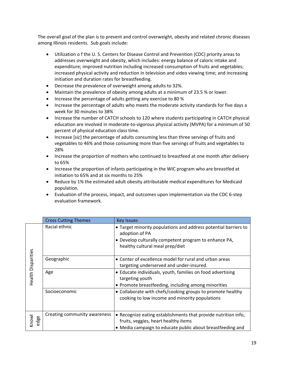The overall goal of the plan is to prevent and control overweight, obesity and related chronic diseases among Illinois residents. Sub goals include:

- Utilization o f the U. S. Centers for Disease Control and Prevention (CDC) priority areas to addresses overweight and obesity, which includes: energy balance of caloric intake and expenditure; improved nutrition including increased consumption of fruits and vegetables; increased physical activity and reduction in television and video viewing time; and increasing initiation and duration rates for breastfeeding.
- Decrease the prevalence of overweight among adults to 32%.
- Maintain the prevalence of obesity among adults at a minimum of 23.5 % or lower.
- Increase the percentage of adults getting any exercise to 80 %
- Increase the percentage of adults who meets the moderate activity standards for five days a week for 30 minutes to 38%
- Increase the number of CATCH schools to 120 where students participating in CATCH physical education are involved in moderate-to-vigorous physical activity (MVPA) for a minimum of 50 percent of physical education class time.
- Increase [*sic*] the percentage of adults consuming less than three servings of fruits and vegetables to 46% and those consuming more than five servings of fruits and vegetables to 28%
- Increase the proportion of mothers who continued to breastfeed at one month after delivery to 65%
- Increase the proportion of infants participating in the WIC program who are breastfed at initiation to 65% and at six months to 25%
- Reduce by 1% the estimated adult obesity attributable medical expenditures for Medicaid population.
- Evaluation of the process, impact, and outcomes upon implementation via the CDC 6‐step evaluation framework.

|                    | <b>Cross Cutting Themes</b>  | <b>Key Issues</b>                                                                                                                                                             |
|--------------------|------------------------------|-------------------------------------------------------------------------------------------------------------------------------------------------------------------------------|
|                    | Racial ethnic                | • Target minority populations and address potential barriers to<br>adoption of PA<br>• Develop culturally competent program to enhance PA,<br>healthy cultural meal prep/diet |
|                    | Geographic                   | • Center of excellence model for rural and urban areas<br>targeting underserved and under-insured.                                                                            |
| Health Disparities | Age                          | • Educate individuals, youth, families on food advertising<br>targeting youth<br>• Promote breastfeeding, including among minorities                                          |
|                    | Socioeconomic                | • Collaborate with chefs/cooking groups to promote healthy<br>cooking to low income and minority populations                                                                  |
| Knowl<br>edge      | Creating community awareness | • Recognize eating establishments that provide nutrition info,<br>fruits, veggies, heart healthy items<br>• Media campaign to educate public about breastfeeding and          |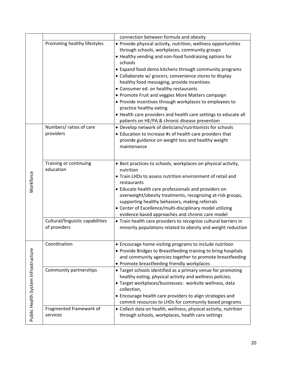|                                     |                                  | connection between formula and obesity                                             |
|-------------------------------------|----------------------------------|------------------------------------------------------------------------------------|
|                                     | Promoting healthy lifestyles     | • Provide physical activity, nutrition, wellness opportunities                     |
|                                     |                                  | through schools, workplaces, community groups                                      |
|                                     |                                  | • Healthy vending and non-food fundraising options for                             |
|                                     |                                  | schools                                                                            |
|                                     |                                  | • Expand food demo kitchens through community programs                             |
|                                     |                                  | • Collaborate w/ grocers, convenience stores to display                            |
|                                     |                                  | healthy food messaging, provide incentives                                         |
|                                     |                                  | • Consumer ed. on healthy restaurants                                              |
|                                     |                                  | • Promote Fruit and veggies More Matters campaign                                  |
|                                     |                                  | • Provide incentives through workplaces to employees to<br>practice healthy eating |
|                                     |                                  | • Health care providers and health care settings to educate all                    |
|                                     |                                  | patients on HE/PA & chronic disease prevention                                     |
|                                     | Numbers/ratios of care           | • Develop network of dieticians/nutritionists for schools                          |
|                                     | providers                        | • Education to increase #s of health care providers that                           |
|                                     |                                  | provide guidance on weight loss and healthy weight                                 |
|                                     |                                  | maintenance                                                                        |
|                                     |                                  |                                                                                    |
|                                     | Training or continuing           | • Best practices to schools, workplaces on physical activity,                      |
|                                     | education                        | nutrition                                                                          |
| Workforce                           |                                  | • Train LHDs to assess nutrition environment of retail and                         |
|                                     |                                  | restaurants                                                                        |
|                                     |                                  | • Educate health care professionals and providers on                               |
|                                     |                                  | overweight/obesity treatments, recognizing at-risk groups,                         |
|                                     |                                  | supporting healthy behaviors, making referrals                                     |
|                                     |                                  | • Center of Excellence/multi-disciplinary model utilizing                          |
|                                     |                                  | evidence based approaches and chronic care model                                   |
|                                     | Cultural/linguistic capabilities | • Train health care providers to recognize cultural barriers in                    |
|                                     | of providers                     | minority populations related to obesity and weight reduction                       |
|                                     |                                  |                                                                                    |
|                                     | Coordination                     | • Encourage home visiting programs to include nutrition                            |
|                                     |                                  | • Provide Bridges to Breastfeeding training to bring hospitals                     |
|                                     |                                  | and community agencies together to promote breastfeeding                           |
|                                     |                                  | • Promote breastfeeding friendly workplaces                                        |
|                                     | Community partnerships           | • Target schools identified as a primary venue for promoting                       |
|                                     |                                  | healthy eating, physical activity and wellness policies;                           |
|                                     |                                  | · Target workplaces/businesses: worksite wellness, data                            |
|                                     |                                  | collection,                                                                        |
|                                     |                                  | • Encourage health care providers to align strategies and                          |
|                                     |                                  | commit resources to LHDs for community based programs                              |
| Public Health System Infrastructure | Fragmented framework of          | • Collect data on health, wellness, physical activity, nutrition                   |
|                                     | services                         | through schools, workplaces, health care settings                                  |
|                                     |                                  |                                                                                    |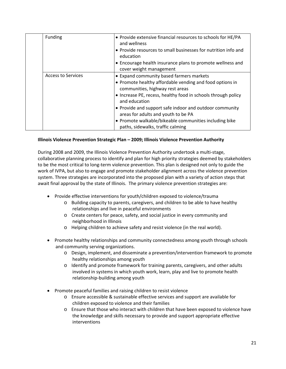| Funding                   | • Provide extensive financial resources to schools for HE/PA<br>and wellness<br>• Provide resources to small businesses for nutrition info and<br>education<br>• Encourage health insurance plans to promote wellness and<br>cover weight management                                                                                                                                                                       |
|---------------------------|----------------------------------------------------------------------------------------------------------------------------------------------------------------------------------------------------------------------------------------------------------------------------------------------------------------------------------------------------------------------------------------------------------------------------|
| <b>Access to Services</b> | • Expand community based farmers markets<br>• Promote healthy affordable vending and food options in<br>communities, highway rest areas<br>• Increase PE, recess, healthy food in schools through policy<br>and education<br>• Provide and support safe indoor and outdoor community<br>areas for adults and youth to be PA<br>• Promote walkable/bikeable communities including bike<br>paths, sidewalks, traffic calming |

# **Illinois Violence Prevention Strategic Plan – 2009; Illinois Violence Prevention Authority**

During 2008 and 2009, the Illinois Violence Prevention Authority undertook a multi‐stage, collaborative planning process to identify and plan for high priority strategies deemed by stakeholders to be the most critical to long‐term violence prevention. This plan is designed not only to guide the work of IVPA, but also to engage and promote stakeholder alignment across the violence prevention system. Three strategies are incorporated into the proposed plan with a variety of action steps that await final approval by the state of Illinois. The primary violence prevention strategies are:

- Provide effective interventions for youth/children exposed to violence/trauma
	- o Building capacity to parents, caregivers, and children to be able to have healthy relationships and live in peaceful environments
	- o Create centers for peace, safety, and social justice in every community and neighborhood in Illinois
	- o Helping children to achieve safety and resist violence (in the real world).
- Promote healthy relationships and community connectedness among youth through schools and community serving organizations.
	- o Design, implement, and disseminate a prevention/intervention framework to promote healthy relationships among youth
	- o Identify and promote framework for training parents, caregivers, and other adults involved in systems in which youth work, learn, play and live to promote health relationship‐building among youth
- Promote peaceful families and raising children to resist violence
	- o Ensure accessible & sustainable effective services and support are available for children exposed to violence and their families
	- o Ensure that those who interact with children that have been exposed to violence have the knowledge and skills necessary to provide and support appropriate effective interventions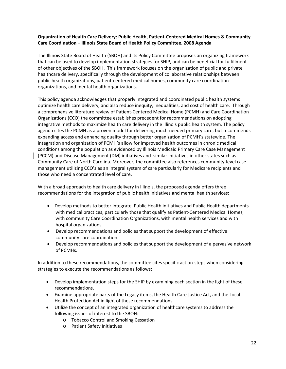# **Organization of Health Care Delivery: Public Health, Patient‐Centered Medical Homes & Community Care Coordination – Illinois State Board of Health Policy Committee, 2008 Agenda**

The Illinois State Board of Health (SBOH) and its Policy Committee proposes an organizing framework that can be used to develop implementation strategies for SHIP, and can be beneficial for fulfillment of other objectives of the SBOH. This framework focuses on the organization of public and private healthcare delivery, specifically through the development of collaborative relationships between public health organizations, patient‐centered medical homes, community care coordination organizations, and mental health organizations.

This policy agenda acknowledges that properly integrated and coordinated public health systems optimize health care delivery, and also reduce inequity, inequalities, and cost of health care. Through a comprehensive literature review of Patient‐Centered Medical Home (PCMH) and Care Coordination Organizations (CCO) the committee establishes precedent for recommendations on adopting integrative methods to maximize health care delivery in the Illinois public health system. The policy agenda cites the PCMH as a proven model for delivering much‐needed primary care, but recommends expanding access and enhancing quality through better organization of PCMH's statewide. The integration and organization of PCMH's allow for improved health outcomes in chronic medical conditions among the population as evidenced by Illinois Medicaid Primary Care Case Management (PCCM) and Disease Management (DM) initiatives and similar initiatives in other states such as Community Care of North Carolina. Moreover, the committee also references community‐level case management utilizing CCO's as an integral system of care particularly for Medicare recipients and those who need a concentrated level of care.

With a broad approach to health care delivery in Illinois, the proposed agenda offers three recommendations for the integration of public health initiatives and mental health services:

- Develop methods to better integrate Public Health initiatives and Public Health departments with medical practices, particularly those that qualify as Patient-Centered Medical Homes, with community Care Coordination Organizations, with mental health services and with hospital organizations.
- Develop recommendations and policies that support the development of effective community care coordination.
- Develop recommendations and policies that support the development of a pervasive network of PCMHs.

In addition to these recommendations, the committee cites specific action‐steps when considering strategies to execute the recommendations as follows:

- Develop implementation steps for the SHIP by examining each section in the light of these recommendations.
- Examine appropriate parts of the Legacy items, the Health Care Justice Act, and the Local Health Protection Act in light of these recommendations.
- Utilize the concept of an integrated organization of healthcare systems to address the following issues of interest to the SBOH:
	- o Tobacco Control and Smoking Cessation
	- o Patient Safety Initiatives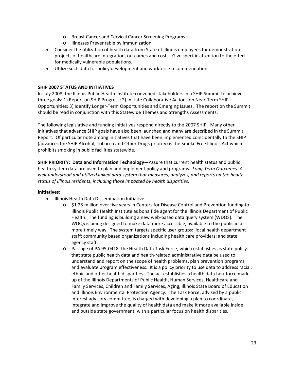- o Breast Cancer and Cervical Cancer Screening Programs
- o Illnesses Preventable by Immunization
- Consider the utilization of health data from State of Illinois employees for demonstration projects of healthcare integration, outcomes and costs. Give specific attention to the effect for medically vulnerable populations.
- Utilize such data for policy development and workforce recommendations

## **SHIP 2007 STATUS AND INITIATIVES**

In July 2008, the Illinois Public Health Institute convened stakeholders in a SHIP Summit to achieve three goals: 1) Report on SHIP Progress; 2) Initiate Collaborative Actions on Near-Term SHIP Opportunities; 3) Identify Longer‐Term Opportunities and Emerging Issues. The report on the Summit should be read in conjunction with this Statewide Themes and Strengths Assessments.

The following legislative and funding initiatives respond directly to the 2007 SHIP. Many other initiatives that advance SHIP goals have also been launched and many are described in the Summit Report. Of particular note among initiatives that have been implemented coincidentally to the SHIP (advances the SHIP Alcohol, Tobacco and Other Drugs priority) is the Smoke Free Illinois Act which prohibits smoking in public facilities statewide.

**SHIP PRIORITY: Data and Information Technology**—Assure that current health status and public health system data are used to plan and implement policy and programs. *Long‐Term Outcomes: A well‐understood and utilized linked data system that measures, analyzes, and reports on the health status of Illinois residents, including those impacted by health disparities.*

#### **Initiatives:**

- Illinois Health Data Dissemination Initiative
	- o \$1.25 million over five years in Centers for Disease Control and Prevention funding to Illinois Public Health Institute as bona fide agent for the Illinois Department of Public Health. The funding is building a new web‐based data query system (WDQS). The WDQS is being designed to make data more accessible, available to the public in a more timely way. The system targets specific user groups: local health department staff; community based organizations including health care providers; and state agency staff.
	- o Passage of PA 95‐0418, the Health Data Task Force, which establishes as state policy that state public health data and health‐related administrative data be used to understand and report on the scope of health problems, plan prevention programs, and evaluate program effectiveness. It is a policy priority to use data to address racial, ethnic and other health disparities. The act establishes a health data task force made up of the Illinois Departments of Public Health, Human Services, Healthcare and Family Services, Children and Family Services, Aging, Illinois State Board of Education and Illinois Environmental Protection Agency. The Task Force, advised by a public interest advisory committee, is charged with developing a plan to coordinate, integrate and improve the quality of health data and make it more available inside and outside state government, with a particular focus on health disparities.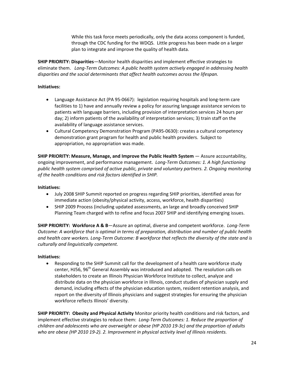While this task force meets periodically, only the data access component is funded, through the CDC funding for the WDQS. Little progress has been made on a larger plan to integrate and improve the quality of health data.

**SHIP PRIORITY: Disparities**—Monitor health disparities and implement effective strategies to eliminate them. *Long‐Term Outcomes: A public health system actively engaged in addressing health disparities and the social determinants that affect health outcomes across the lifespan.*

# **Initiatives:**

- Language Assistance Act (PA 95‐0667): legislation requiring hospitals and long‐term care facilities to 1) have and annually review a policy for assuring language assistance services to patients with language barriers, including provision of interpretation services 24 hours per day; 2) inform patients of the availability of interpretation services; 3) train staff on the availability of language assistance services.
- Cultural Competency Demonstration Program (PA95‐0630): creates a cultural competency demonstration grant program for health and public health providers. Subject to appropriation, no appropriation was made.

**SHIP PRIORITY: Measure, Manage, and Improve the Public Health System** — Assure accountability, ongoing improvement, and performance management. *Long‐Term Outcomes: 1. A high functioning public health system comprised of active public, private and voluntary partners. 2. Ongoing monitoring of the health conditions and risk factors identified in SHIP.*

#### **Initiatives:**

- July 2008 SHIP Summit reported on progress regarding SHIP priorities, identified areas for immediate action (obesity/physical activity, access, workforce, health disparities)
- SHIP 2009 Process (including updated assessments, an large and broadly conceived SHIP Planning Team charged with to refine and focus 2007 SHIP and identifying emerging issues.

**SHIP PRIORITY: Workforce A & B**—Assure an optimal, diverse and competent workforce. *Long‐Term Outcome: A workforce that is optimal in terms of preparation, distribution and number of public health* and health care workers. Long-Term Outcome: B workforce that reflects the diversity of the state and is *culturally and linguistically competent.*

#### **Initiatives:**

 Responding to the SHIP Summit call for the development of a health care workforce study center, HJ56, 96<sup>th</sup> General Assembly was introduced and adopted. The resolution calls on stakeholders to create an Illinois Physician Workforce Institute to collect, analyze and distribute data on the physician workforce in Illinois, conduct studies of physician supply and demand, including effects of the physician education system, resident retention analysis, and report on the diversity of Illinois physicians and suggest strategies for ensuring the physician workforce reflects Illinois' diversity.

**SHIP PRIORITY: Obesity and Physical Activity** Monitor priority health conditions and risk factors, and implement effective strategies to reduce them: *Long‐Term Outcomes: 1. Reduce the proportion of children and adolescents who are overweight or obese (HP 2010 19‐3c) and the proportion of adults who are obese (HP 2010 19‐2). 2. Improvement in physical activity level of Illinois residents.*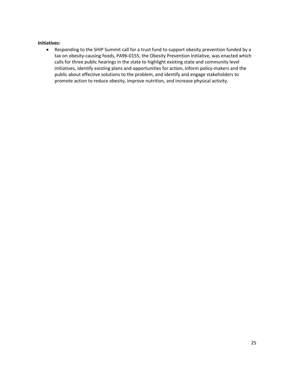#### **Initiatives:**

 Responding to the SHIP Summit call for a trust fund to support obesity prevention funded by a tax on obesity-causing foods, PA96-0155, the Obesity Prevention Initiative, was enacted which calls for three public hearings in the state to highlight existing state and community level initiatives, identify existing plans and opportunities for action, inform policy-makers and the public about effective solutions to the problem, and identify and engage stakeholders to promote action to reduce obesity, improve nutrition, and increase physical activity.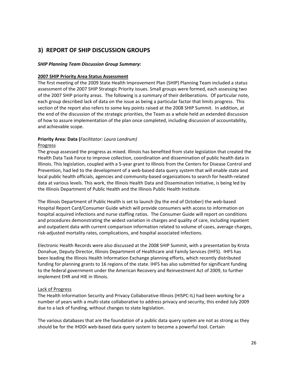# **3) REPORT OF SHIP DISCUSSION GROUPS**

## *SHIP Planning Team Discussion Group Summary:*

#### **2007 SHIP Priority Area Status Assessment**

The first meeting of the 2009 State Health Improvement Plan (SHIP) Planning Team included a status assessment of the 2007 SHIP Strategic Priority issues. Small groups were formed, each assessing two of the 2007 SHIP priority areas. The following is a summary of their deliberations. Of particular note, each group described lack of data on the issue as being a particular factor that limits progress. This section of the report also refers to some key points raised at the 2008 SHIP Summit. In addition, at the end of the discussion of the strategic priorities, the Team as a whole held an extended discussion of how to assure implementation of the plan once completed, including discussion of accountability, and achievable scope.

# **Priority Area: Data (***Facilitator: Laura Landrum)*

#### Progress

The group assessed the progress as mixed. Illinois has benefited from state legislation that created the Health Data Task Force to improve collection, coordination and dissemination of public health data in Illinois. This legislation, coupled with a 5‐year grant to Illinois from the Centers for Disease Control and Prevention, had led to the development of a web‐based data query system that will enable state and local public health officials, agencies and community‐based organizations to search for health‐related data at various levels. This work, the Illinois Health Data and Dissemination Initiative, is being led by the Illinois Department of Public Health and the Illinois Public Health Institute.

The Illinois Department of Public Health is set to launch (by the end of October) the web‐based Hospital Report Card/Consumer Guide which will provide consumers with access to information on hospital acquired infections and nurse staffing ratios. The Consumer Guide will report on conditions and procedures demonstrating the widest variation in charges and quality of care, including inpatient and outpatient data with current comparison information related to volume of cases, average charges, risk‐adjusted mortality rates, complications, and hospital associated infections.

Electronic Health Records were also discussed at the 2008 SHIP Summit, with a presentation by Krista Donahue, Deputy Director, Illinois Department of Healthcare and Family Services (IHFS). IHFS has been leading the Illinois Health Information Exchange planning efforts, which recently distributed funding for planning grants to 16 regions of the state. IHFS has also submitted for significant funding to the federal government under the American Recovery and Reinvestment Act of 2009, to further implement EHR and HIE in Illinois.

#### Lack of Progress

The Health Information Security and Privacy Collaborative‐Illinois (HISPC‐IL) had been working for a number of years with a multi‐state collaborative to address privacy and security, this ended July 2009 due to a lack of funding, without changes to state legislation.

The various databases that are the foundation of a public data query system are not as strong as they should be for the IHDDI web-based data query system to become a powerful tool. Certain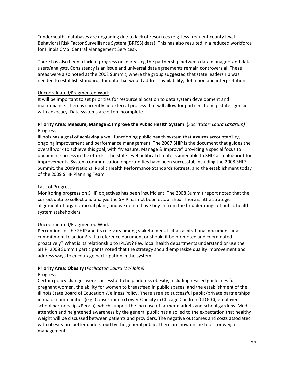"underneath" databases are degrading due to lack of resources (e.g. less frequent county level Behavioral Risk Factor Surveillance System (BRFSS) data). This has also resulted in a reduced workforce for Illinois CMS (Central Management Services).

There has also been a lack of progress on increasing the partnership between data managers and data users/analysts. Consistency is an issue and universal data agreements remain controversial. These areas were also noted at the 2008 Summit, where the group suggested that state leadership was needed to establish standards for data that would address availability, definition and interpretation.

## Uncoordinated/Fragmented Work

It will be important to set priorities for resource allocation to data system development and maintenance. There is currently no external process that will allow for partners to help state agencies with advocacy. Data systems are often incomplete.

# **Priority Area: Measure, Manage & Improve the Public Health System (***Facilitator: Laura Landrum)* Progress

Illinois has a goal of achieving a well functioning public health system that assures accountability, ongoing improvement and performance management. The 2007 SHIP is the document that guides the overall work to achieve this goal, with "Measure, Manage & Improve" providing a special focus to document success in the efforts. The state level political climate is amenable to SHIP as a blueprint for improvements. System communication opportunities have been successful, including the 2008 SHIP Summit, the 2009 National Public Health Performance Standards Retreat, and the establishment today of the 2009 SHIP Planning Team.

# Lack of Progress

Monitoring progress on SHIP objectives has been insufficient. The 2008 Summit report noted that the correct data to collect and analyze the SHIP has not been established. There is little strategic alignment of organizational plans, and we do not have buy‐in from the broader range of public health system stakeholders.

# Uncoordinated/Fragmented Work

Perceptions of the SHIP and its role vary among stakeholders. Is it an aspirational document or a commitment to action? Is it a reference document or should it be promoted and coordinated proactively? What is its relationship to IPLAN? Few local health departments understand or use the SHIP. 2008 Summit participants noted that the strategy should emphasize quality improvement and address ways to encourage participation in the system.

# **Priority Area: Obesity (***Facilitator: Laura McAlpine)*

#### Progress

Certain policy changes were successful to help address obesity, including revised guidelines for pregnant women, the ability for women to breastfeed in public spaces, and the establishment of the Illinois State Board of Education Wellness Policy. There are also successful public/private partnerships in major communities (e.g. Consortium to Lower Obesity in Chicago Children (CLOCC); employer‐ school partnerships/Peoria), which support the increase of farmer markets and school gardens. Media attention and heightened awareness by the general public has also led to the expectation that healthy weight will be discussed between patients and providers. The negative outcomes and costs associated with obesity are better understood by the general public. There are now online tools for weight management.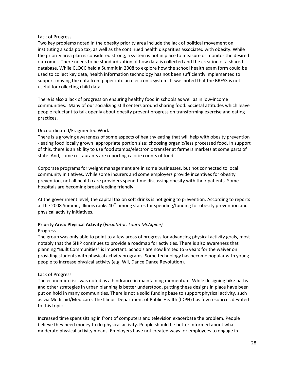#### Lack of Progress

Two key problems noted in the obesity priority area include the lack of political movement on instituting a soda pop tax, as well as the continued health disparities associated with obesity. While the priority area plan is considered strong, a system is not in place to measure or monitor the desired outcomes. There needs to be standardization of how data is collected and the creation of a shared database. While CLOCC held a Summit in 2008 to explore how the school health exam form could be used to collect key data, health information technology has not been sufficiently implemented to support moving the data from paper into an electronic system. It was noted that the BRFSS is not useful for collecting child data.

There is also a lack of progress on ensuring healthy food in schools as well as in low‐income communities. Many of our socializing still centers around sharing food. Societal attitudes which leave people reluctant to talk openly about obesity prevent progress on transforming exercise and eating practices.

#### Uncoordinated/Fragmented Work

There is a growing awareness of some aspects of healthy eating that will help with obesity prevention ‐ eating food locally grown; appropriate portion size; choosing organic/less processed food. In support of this, there is an ability to use food stamps/electronic transfer at farmers markets at some parts of state. And, some restaurants are reporting calorie counts of food.

Corporate programs for weight management are in some businesses, but not connected to local community initiatives. While some insurers and some employers provide incentives for obesity prevention, not all health care providers spend time discussing obesity with their patients. Some hospitals are becoming breastfeeding friendly.

At the government level, the capital tax on soft drinks is not going to prevention. According to reports at the 2008 Summit, Illinois ranks  $40^{th}$  among states for spending/funding for obesity prevention and physical activity initiatives.

# **Priority Area: Physical Activity (***Facilitator: Laura McAlpine)*

#### Progress

The group was only able to point to a few areas of progress for advancing physical activity goals, most notably that the SHIP continues to provide a roadmap for activities. There is also awareness that planning "Built Communities" is important. Schools are now limited to 6 years for the waiver on providing students with physical activity programs. Some technology has become popular with young people to increase physical activity (e.g. Wii, Dance Dance Revolution).

#### Lack of Progress

The economic crisis was noted as a hindrance in maintaining momentum. While designing bike paths and other strategies in urban planning is better understood, putting these designs in place have been put on hold in many communities. There is not a solid funding base to support physical activity, such as via Medicaid/Medicare. The Illinois Department of Public Health (IDPH) has few resources devoted to this topic.

Increased time spent sitting in front of computers and television exacerbate the problem. People believe they need money to do physical activity. People should be better informed about what moderate physical activity means. Employers have not created ways for employees to engage in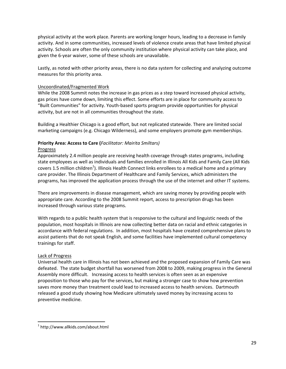physical activity at the work place. Parents are working longer hours, leading to a decrease in family activity. And in some communities, increased levels of violence create areas that have limited physical activity. Schools are often the only community institution where physical activity can take place, and given the 6‐year waiver, some of these schools are unavailable.

Lastly, as noted with other priority areas, there is no data system for collecting and analyzing outcome measures for this priority area.

#### Uncoordinated/Fragmented Work

While the 2008 Summit notes the increase in gas prices as a step toward increased physical activity, gas prices have come down, limiting this effect. Some efforts are in place for community access to "Built Communities" for activity. Youth‐based sports program provide opportunities for physical activity, but are not in all communities throughout the state.

Building a Healthier Chicago is a good effort, but not replicated statewide. There are limited social marketing campaigns (e.g. Chicago Wilderness), and some employers promote gym memberships.

# **Priority Area: Access to Care (***Facilitator: Mairita Smiltars)*

#### Progress

Approximately 2.4 million people are receiving health coverage through states programs, including state employees as well as individuals and families enrolled in Illinois All Kids and Family Care (All Kids covers 1.5 million children<sup>1</sup>). Illinois Health Connect links enrollees to a medical home and a primary care provider. The Illinois Department of Healthcare and Family Services, which administers the programs, has improved the application process through the use of the internet and other IT systems.

There are improvements in disease management, which are saving money by providing people with appropriate care. According to the 2008 Summit report, access to prescription drugs has been increased through various state programs.

With regards to a public health system that is responsive to the cultural and linguistic needs of the population, most hospitals in Illinois are now collecting better data on racial and ethnic categories in accordance with federal regulations. In addition, most hospitals have created comprehensive plans to assist patients that do not speak English, and some facilities have implemented cultural competency trainings for staff.

#### Lack of Progress

Universal health care in Illinois has not been achieved and the proposed expansion of Family Care was defeated. The state budget shortfall has worsened from 2008 to 2009, making progress in the General Assembly more difficult. Increasing access to health services is often seen as an expensive proposition to those who pay for the services, but making a stronger case to show how prevention saves more money than treatment could lead to increased access to health services. Dartmouth released a good study showing how Medicare ultimately saved money by increasing access to preventive medicine.

 <sup>1</sup> http://www.allkids.com/about.html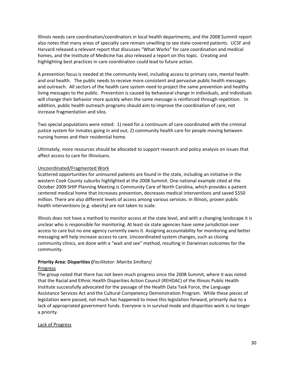Illinois needs care coordination/coordinators in local health departments, and the 2008 Summit report also notes that many areas of specialty care remain unwilling to see state‐covered patients. UCSF and Harvard released a relevant report that discusses "What Works" for care coordination and medical homes, and the Institute of Medicine has also released a report on this topic. Creating and highlighting best practices in care coordination could lead to future action.

A prevention focus is needed at the community level, including access to primary care, mental health and oral health. The public needs to receive more consistent and pervasive public health messages and outreach. All sectors of the health care system need to project the same prevention and healthy living messages to the public. Prevention is caused by behavioral change in individuals, and individuals will change their behavior more quickly when the same message is reinforced through repetition. In addition, public health outreach programs should aim to improve the coordination of care, not increase fragmentation and silos.

Two special populations were noted: 1) need for a continuum of care coordinated with the criminal justice system for inmates going in and out; 2) community health care for people moving between nursing homes and their residential home.

Ultimately, more resources should be allocated to support research and policy analysis on issues that affect access to care for Illinoisans.

## Uncoordinated/Fragmented Work

Scattered opportunities for uninsured patients are found in the state, including an initiative in the western Cook County suburbs highlighted at the 2008 Summit. One national example cited at the October 2009 SHIP Planning Meeting is Community Care of North Carolina, which provides a patient centered medical home that increases prevention, decreases medical interventions and saved \$550 million. There are also different levels of access among various services. In Illinois, proven public health interventions (e.g. obesity) are not taken to scale.

Illinois does not have a method to monitor access at the state level, and with a changing landscape it is unclear who is responsible for monitoring. At least six state agencies have some jurisdiction over access to care but no one agency currently owns it. Assigning accountability for monitoring and better messaging will help increase access to care. Uncoordinated system changes, such as closing community clinics, are done with a "wait and see" method, resulting in Darwinian outcomes for the community.

#### **Priority Area: Disparities (***Facilitator: Mairita Smiltars)*

#### Progress

The group noted that there has not been much progress since the 2008 Summit, where it was noted that the Racial and Ethnic Health Disparities Action Council (REHDAC) of the Illinois Public Health Institute successfully advocated for the passage of the Health Data Task Force, the Language Assistance Services Act and the Cultural Competency Demonstration Program. While these pieces of legislation were passed, not much has happened to move this legislation forward, primarily due to a lack of appropriated government funds. Everyone is in survival mode and disparities work is no longer a priority.

#### Lack of Progress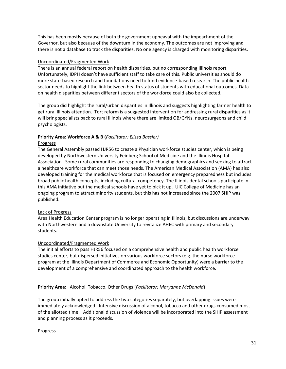This has been mostly because of both the government upheaval with the impeachment of the Governor, but also because of the downturn in the economy. The outcomes are not improving and there is not a database to track the disparities. No one agency is charged with monitoring disparities.

## Uncoordinated/Fragmented Work

There is an annual federal report on health disparities, but no corresponding Illinois report. Unfortunately, IDPH doesn't have sufficient staff to take care of this. Public universities should do more state‐based research and foundations need to fund evidence‐based research. The public health sector needs to highlight the link between health status of students with educational outcomes. Data on health disparities between different sectors of the workforce could also be collected.

The group did highlight the rural/urban disparities in Illinois and suggests highlighting farmer health to get rural Illinois attention. Tort reform is a suggested intervention for addressing rural disparities as it will bring specialists back to rural Illinois where there are limited OB/GYNs, neurosurgeons and child psychologists.

# **Priority Area: Workforce A & B (***Facilitator: Elissa Bassler)*

## Progress

The General Assembly passed HJR56 to create a Physician workforce studies center, which is being developed by Northwestern University Feinberg School of Medicine and the Illinois Hospital Association. Some rural communities are responding to changing demographics and seeking to attract a healthcare workforce that can meet those needs. The American Medical Association (AMA) has also developed training for the medical workforce that is focused on emergency preparedness but includes broad public health concepts, including cultural competency. The Illinois dental schools participate in this AMA initiative but the medical schools have yet to pick it up. UIC College of Medicine has an ongoing program to attract minority students, but this has not increased since the 2007 SHIP was published.

# Lack of Progress

Area Health Education Center program is no longer operating in Illinois, but discussions are underway with Northwestern and a downstate University to revitalize AHEC with primary and secondary students.

# Uncoordinated/Fragmented Work

The initial efforts to pass HJR56 focused on a comprehensive health and public health workforce studies center, but dispersed initiatives on various workforce sectors (e.g. the nurse workforce program at the Illinois Department of Commerce and Economic Opportunity) were a barrier to the development of a comprehensive and coordinated approach to the health workforce.

# **Priority Area:** Alcohol, Tobacco, Other Drugs (*Facilitator: Maryanne McDonald*)

The group initially opted to address the two categories separately, but overlapping issues were immediately acknowledged. Intensive discussion of alcohol, tobacco and other drugs consumed most of the allotted time. Additional discussion of violence will be incorporated into the SHIP assessment and planning process as it proceeds.

# Progress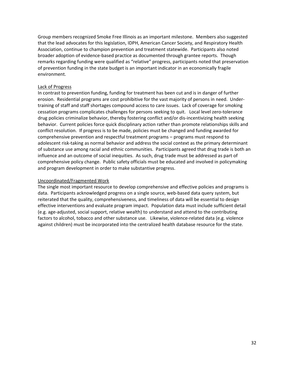Group members recognized Smoke Free Illinois as an important milestone. Members also suggested that the lead advocates for this legislation, IDPH, American Cancer Society, and Respiratory Health Association, continue to champion prevention and treatment statewide. Participants also noted broader adoption of evidence‐based practice as documented through grantee reports. Though remarks regarding funding were qualified as "relative" progress, participants noted that preservation of prevention funding in the state budget is an important indicator in an economically fragile environment.

#### Lack of Progress

In contrast to prevention funding, funding for treatment has been cut and is in danger of further erosion. Residential programs are cost prohibitive for the vast majority of persons in need. Under‐ training of staff and staff shortages compound access to care issues. Lack of coverage for smoking cessation programs complicates challenges for persons seeking to quit. Local level zero‐tolerance drug policies criminalize behavior, thereby fostering conflict and/or dis‐incentivizing health seeking behavior. Current policies force quick disciplinary action rather than promote relationships skills and conflict resolution. If progress is to be made, policies must be changed and funding awarded for comprehensive prevention and respectful treatment programs – programs must respond to adolescent risk‐taking as normal behavior and address the social context as the primary determinant of substance use among racial and ethnic communities. Participants agreed that drug trade is both an influence and an outcome of social inequities. As such, drug trade must be addressed as part of comprehensive policy change. Public safety officials must be educated and involved in policymaking and program development in order to make substantive progress.

#### Uncoordinated/Fragmented Work

The single most important resource to develop comprehensive and effective policies and programs is data. Participants acknowledged progress on a single source, web‐based data query system, but reiterated that the quality, comprehensiveness, and timeliness of data will be essential to design effective interventions and evaluate program impact. Population data must include sufficient detail (e.g. age‐adjusted, social support, relative wealth) to understand and attend to the contributing factors to alcohol, tobacco and other substance use. Likewise, violence-related data (e.g. violence against children) must be incorporated into the centralized health database resource for the state.